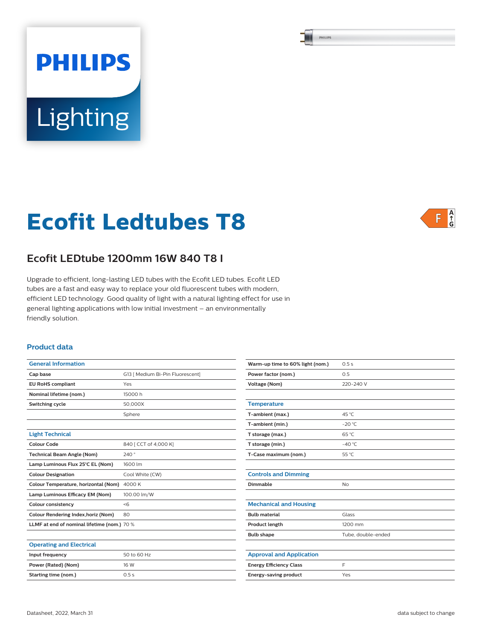PHILIPS

# **Ecofit Ledtubes T8**

Lighting

**PHILIPS** 



# **Ecofit LEDtube 1200mm 16W 840 T8 I**

Upgrade to efficient, long-lasting LED tubes with the Ecofit LED tubes. Ecofit LED tubes are a fast and easy way to replace your old fluorescent tubes with modern, efficient LED technology. Good quality of light with a natural lighting effect for use in general lighting applications with low initial investment – an environmentally friendly solution.

## **Product data**

| <b>General Information</b>                  |                                  |  |  |  |  |
|---------------------------------------------|----------------------------------|--|--|--|--|
| Cap base                                    | G13   Medium Bi-Pin Fluorescent] |  |  |  |  |
| <b>EU RoHS compliant</b>                    | Yes                              |  |  |  |  |
| Nominal lifetime (nom.)                     | 15000 h                          |  |  |  |  |
| Switching cycle                             | 50,000X                          |  |  |  |  |
|                                             | Sphere                           |  |  |  |  |
|                                             |                                  |  |  |  |  |
| <b>Light Technical</b>                      |                                  |  |  |  |  |
| Colour Code                                 | 840 [ CCT of 4,000 K]            |  |  |  |  |
| <b>Technical Beam Angle (Nom)</b>           | 240°                             |  |  |  |  |
| Lamp Luminous Flux 25°C EL (Nom)            | 1600 lm                          |  |  |  |  |
| <b>Colour Designation</b>                   | Cool White (CW)                  |  |  |  |  |
| Colour Temperature, horizontal (Nom)        | 4000 K                           |  |  |  |  |
| Lamp Luminous Efficacy EM (Nom)             | 100.00 lm/W                      |  |  |  |  |
| <b>Colour consistency</b>                   | <6                               |  |  |  |  |
| Colour Rendering Index, horiz (Nom)         | 80                               |  |  |  |  |
| LLMF at end of nominal lifetime (nom.) 70 % |                                  |  |  |  |  |
|                                             |                                  |  |  |  |  |
| <b>Operating and Electrical</b>             |                                  |  |  |  |  |
| Input frequency                             | 50 to 60 Hz                      |  |  |  |  |
| Power (Rated) (Nom)                         | 16 W                             |  |  |  |  |
| Starting time (nom.)                        | 0.5s                             |  |  |  |  |

| Warm-up time to 60% light (nom.) | 0.5s               |  |  |
|----------------------------------|--------------------|--|--|
| Power factor (nom.)              | 0.5                |  |  |
| <b>Voltage (Nom)</b>             | 220-240 V          |  |  |
|                                  |                    |  |  |
| <b>Temperature</b>               |                    |  |  |
| T-ambient (max.)                 | 45 °C              |  |  |
| T-ambient (min.)                 | $-20 °C$           |  |  |
| T storage (max.)                 | 65 °C              |  |  |
| T storage (min.)                 | $-40^{\circ}$ C    |  |  |
| T-Case maximum (nom.)            | 55 °C              |  |  |
|                                  |                    |  |  |
| <b>Controls and Dimming</b>      |                    |  |  |
| Dimmable                         | <b>No</b>          |  |  |
|                                  |                    |  |  |
| <b>Mechanical and Housing</b>    |                    |  |  |
| <b>Bulb material</b>             | Glass              |  |  |
| Product length                   | 1200 mm            |  |  |
| <b>Bulb shape</b>                | Tube, double-ended |  |  |
|                                  |                    |  |  |
| <b>Approval and Application</b>  |                    |  |  |
| <b>Energy Efficiency Class</b>   | F                  |  |  |
| Energy-saving product            | Yes                |  |  |
|                                  |                    |  |  |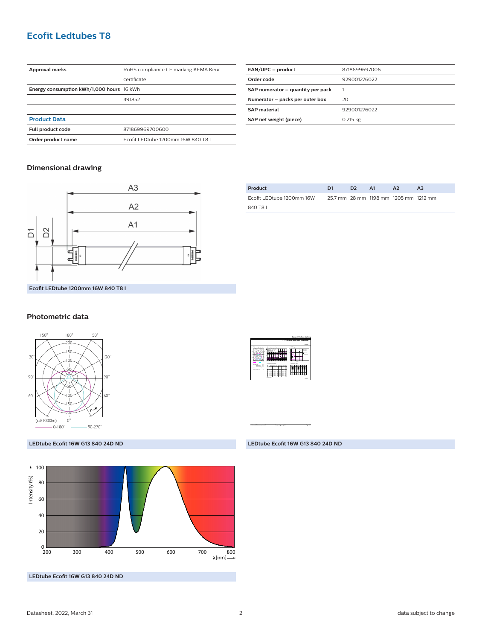## **Ecofit Ledtubes T8**

| Approval marks                            | RoHS compliance CE marking KEMA Keur |  |  |
|-------------------------------------------|--------------------------------------|--|--|
|                                           | certificate                          |  |  |
| Energy consumption kWh/1,000 hours 16 kWh |                                      |  |  |
|                                           | 491852                               |  |  |
|                                           |                                      |  |  |
| <b>Product Data</b>                       |                                      |  |  |
| Full product code                         | 871869969700600                      |  |  |
| Order product name                        | Ecofit LEDtube 1200mm 16W 840 T8 I   |  |  |
|                                           |                                      |  |  |

| EAN/UPC - product                 | 8718699697006 |
|-----------------------------------|---------------|
| Order code                        | 929001276022  |
| SAP numerator - quantity per pack |               |
| Numerator - packs per outer box   | 20            |
| <b>SAP</b> material               | 929001276022  |
| SAP net weight (piece)            | 0.215 kg      |
|                                   |               |

## **Dimensional drawing**



| Product                   | D1 | ּכּח | - A1 | A <sub>2</sub>                        | A <sub>3</sub> |
|---------------------------|----|------|------|---------------------------------------|----------------|
| Ecofit LEDtube 1200mm 16W |    |      |      | 25.7 mm 28 mm 1198 mm 1205 mm 1212 mm |                |
| 840 T8 L                  |    |      |      |                                       |                |

## **Photometric data**



#### **LEDtube Ecofit 16W G13 840 24D ND**



**LEDtube Ecofit 16W G13 840 24D ND** 



CalcuLuX Photometrics 4.5 Philips Lighting B.V. Page: 17 Page: 1/1

### **LEDtube Ecofit 16W G13 840 24D ND**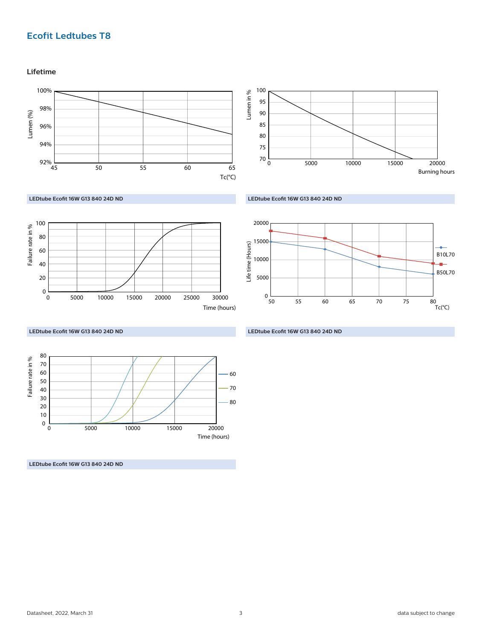# **Ecofit Ledtubes T8**

**Lifetime**



Life time (Hours)

Life time (Hours)



**LEDtube Ecofit 16W G13 840 24D ND** 



**LEDtube Ecofit 16W G13 840 24D ND** 

**LEDtube Ecofit 16W G13 840 24D ND** 

50 0

5000

15000

20000

10000

 $\overline{80}$ <br>Tc(°C)

B10L70

a.

B50L70

55 60 65 70 75 80